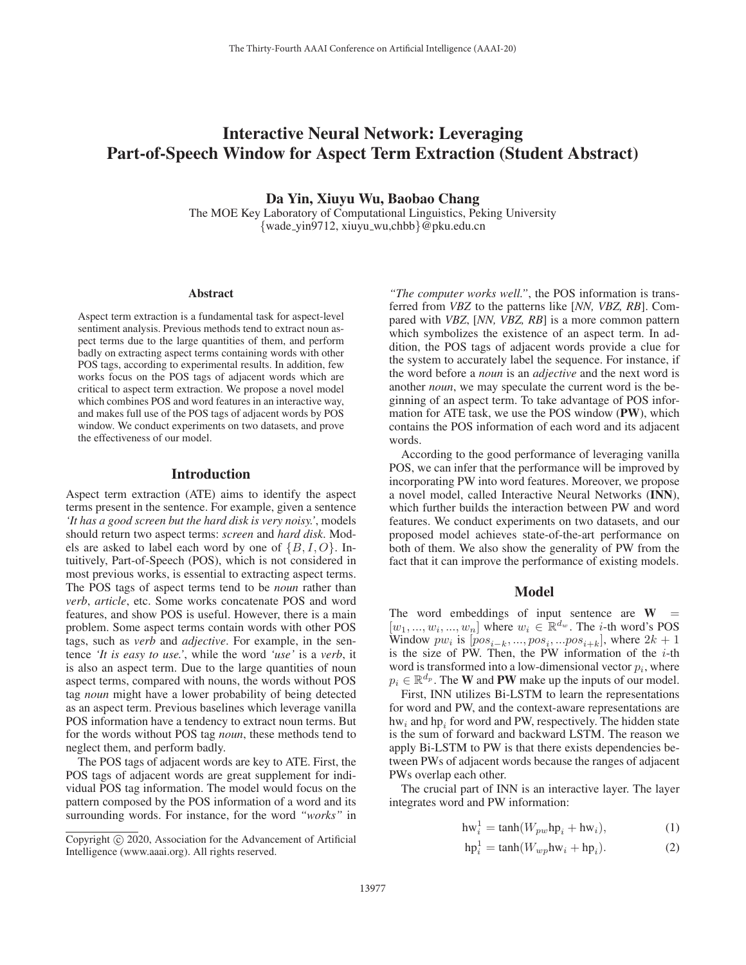# Interactive Neural Network: Leveraging Part-of-Speech Window for Aspect Term Extraction (Student Abstract)

Da Yin, Xiuyu Wu, Baobao Chang

The MOE Key Laboratory of Computational Linguistics, Peking University {wade yin9712, xiuyu wu,chbb}@pku.edu.cn

#### Abstract

Aspect term extraction is a fundamental task for aspect-level sentiment analysis. Previous methods tend to extract noun aspect terms due to the large quantities of them, and perform badly on extracting aspect terms containing words with other POS tags, according to experimental results. In addition, few works focus on the POS tags of adjacent words which are critical to aspect term extraction. We propose a novel model which combines POS and word features in an interactive way, and makes full use of the POS tags of adjacent words by POS window. We conduct experiments on two datasets, and prove the effectiveness of our model.

### Introduction

Aspect term extraction (ATE) aims to identify the aspect terms present in the sentence. For example, given a sentence *'It has a good screen but the hard disk is very noisy.'*, models should return two aspect terms: *screen* and *hard disk*. Models are asked to label each word by one of  $\{B, I, O\}$ . Intuitively, Part-of-Speech (POS), which is not considered in most previous works, is essential to extracting aspect terms. The POS tags of aspect terms tend to be *noun* rather than *verb*, *article*, etc. Some works concatenate POS and word features, and show POS is useful. However, there is a main problem. Some aspect terms contain words with other POS tags, such as *verb* and *adjective*. For example, in the sentence *'It is easy to use.'*, while the word *'use'* is a *verb*, it is also an aspect term. Due to the large quantities of noun aspect terms, compared with nouns, the words without POS tag *noun* might have a lower probability of being detected as an aspect term. Previous baselines which leverage vanilla POS information have a tendency to extract noun terms. But for the words without POS tag *noun*, these methods tend to neglect them, and perform badly.

The POS tags of adjacent words are key to ATE. First, the POS tags of adjacent words are great supplement for individual POS tag information. The model would focus on the pattern composed by the POS information of a word and its surrounding words. For instance, for the word *"works"* in

*"The computer works well."*, the POS information is transferred from *VBZ* to the patterns like [*NN, VBZ, RB*]. Compared with *VBZ*, [*NN, VBZ, RB*] is a more common pattern which symbolizes the existence of an aspect term. In addition, the POS tags of adjacent words provide a clue for the system to accurately label the sequence. For instance, if the word before a *noun* is an *adjective* and the next word is another *noun*, we may speculate the current word is the beginning of an aspect term. To take advantage of POS information for ATE task, we use the POS window (PW), which contains the POS information of each word and its adjacent words.

According to the good performance of leveraging vanilla POS, we can infer that the performance will be improved by incorporating PW into word features. Moreover, we propose a novel model, called Interactive Neural Networks (INN), which further builds the interaction between PW and word features. We conduct experiments on two datasets, and our proposed model achieves state-of-the-art performance on both of them. We also show the generality of PW from the fact that it can improve the performance of existing models.

## Model

The word embeddings of input sentence are  $W =$  $[w_1, ..., w_i, ..., w_n]$  where  $w_i \in \mathbb{R}^{d_w}$ . The *i*-th word's POS Window  $pw_i$  is  $[pos_{i-k}, ..., pos_i, ...pos_{i+k}]$ , where  $2k + 1$ is the size of PW. Then, the PW information of the  $i$ -th word is transformed into a low-dimensional vector  $p_i$ , where  $p_i \in \mathbb{R}^{d_p}$ . The **W** and **PW** make up the inputs of our model.

First, INN utilizes Bi-LSTM to learn the representations for word and PW, and the context-aware representations are hw<sub>i</sub> and hp<sub>i</sub> for word and PW, respectively. The hidden state is the sum of forward and backward LSTM. The reason we apply Bi-LSTM to PW is that there exists dependencies between PWs of adjacent words because the ranges of adjacent PWs overlap each other.

The crucial part of INN is an interactive layer. The layer integrates word and PW information:

$$
\text{hw}_i^1 = \tanh(W_{pw}\text{hp}_i + \text{hw}_i),\tag{1}
$$

$$
hp_i^1 = \tanh(W_{wp}hw_i + hp_i). \tag{2}
$$

Copyright  $\odot$  2020, Association for the Advancement of Artificial Intelligence (www.aaai.org). All rights reserved.